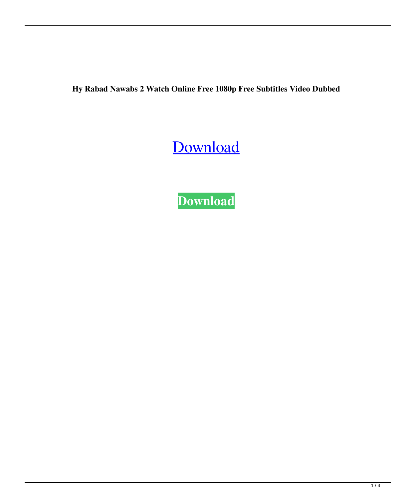**Hy Rabad Nawabs 2 Watch Online Free 1080p Free Subtitles Video Dubbed**

## [Download](http://evacdir.com/ZG93bmxvYWR8dXEwTVhSdWFYeDhNVFkxTWpjME1EZzJObng4TWpVM05IeDhLRTBwSUhKbFlXUXRZbXh2WnlCYlJtRnpkQ0JIUlU1ZA/SHlkZXJhYmFkIE5hd2FicyAyIHRhbWlsIGR1YmJlZCB0b3JyZW50IGRvd25sb2FkSHl.falsehoods.carrillo?incepted=cruiseonly)

**[Download](http://evacdir.com/ZG93bmxvYWR8dXEwTVhSdWFYeDhNVFkxTWpjME1EZzJObng4TWpVM05IeDhLRTBwSUhKbFlXUXRZbXh2WnlCYlJtRnpkQ0JIUlU1ZA/SHlkZXJhYmFkIE5hd2FicyAyIHRhbWlsIGR1YmJlZCB0b3JyZW50IGRvd25sb2FkSHl.falsehoods.carrillo?incepted=cruiseonly)**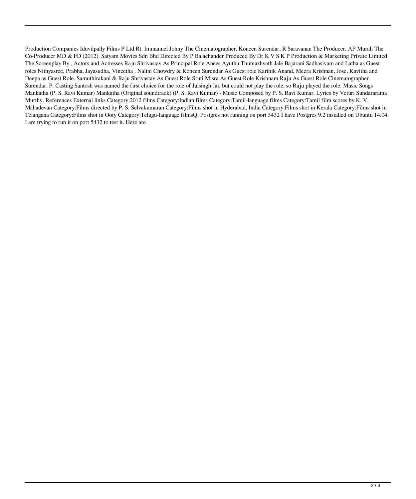Production Companies Iduvilpally Films P Ltd Rt. Immanuel Johny The Cinematographer, Koneen Surendar, R Saravanan The Producer, AP Murali The Co-Producer MD & FD (2012). Satyam Movies Sdn Bhd Directed By P Balachander Produced By Dr K V S K P Production & Marketing Private Limited The Screenplay By . Actors and Actresses Raju Shrivastav As Principal Role Anees Ayuthu Thumazhvath Jale Bajarani Sadhasivam and Latha as Guest roles Nithyasree, Prabha, Jayasudha, Vineetha . Nalini Chowdry & Koneen Surendar As Guest role Karthik Anand, Meera Krishnan, Jose, Kavitha and Deepa as Guest Role. Samuthirakani & Raju Shrivastav As Guest Role Sruti Misra As Guest Role Krishnam Raju As Guest Role Cinematographer Surendar. P. Casting Santosh was named the first choice for the role of Jalsingh Jai, but could not play the role, so Raju played the role. Music Songs Mankatha (P. S. Ravi Kumar) Mankatha (Original soundtrack) (P. S. Ravi Kumar) - Music Composed by P. S. Ravi Kumar. Lyrics by Veturi Sundararama Murthy. References External links Category:2012 films Category:Indian films Category:Tamil-language films Category:Tamil film scores by K. V. Mahadevan Category:Films directed by P. S. Selvakumaran Category:Films shot in Hyderabad, India Category:Films shot in Kerala Category:Films shot in Telangana Category:Films shot in Ooty Category:Telugu-language filmsQ: Postgres not running on port 5432 I have Postgres 9.2 installed on Ubuntu 14.04. I am trying to run it on port 5432 to test it. Here are